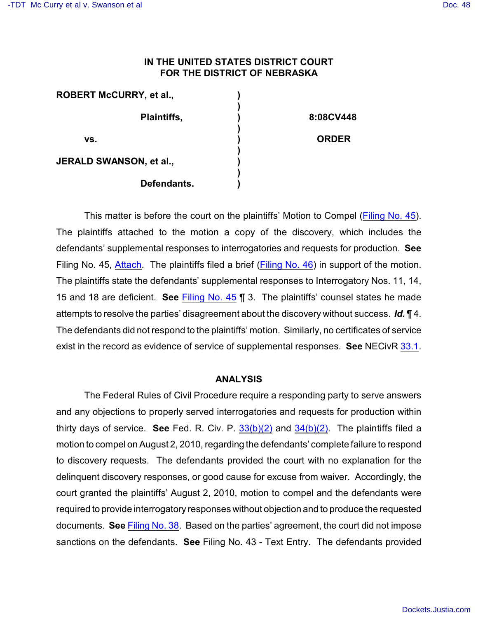## **IN THE UNITED STATES DISTRICT COURT FOR THE DISTRICT OF NEBRASKA**

| <b>ROBERT McCURRY, et al.,</b> |              |
|--------------------------------|--------------|
| Plaintiffs,                    | 8:08CV448    |
| VS.                            | <b>ORDER</b> |
| JERALD SWANSON, et al.,        |              |
| Defendants.                    |              |

This matter is before the court on the plaintiffs' Motion to Compel [\(Filing No. 45](https://ecf.ned.uscourts.gov/doc1/11312101052)). The plaintiffs attached to the motion a copy of the discovery, which includes the defendants' supplemental responses to interrogatories and requests for production. **See** Filing No. 45, [Attach](https://ecf.ned.uscourts.gov/doc1/11312101053). The plaintiffs filed a brief [\(Filing No. 46](https://ecf.ned.uscourts.gov/doc1/11312101059)) in support of the motion. The plaintiffs state the defendants' supplemental responses to Interrogatory Nos. 11, 14, 15 and 18 are deficient. **See** [Filing No. 45](https://ecf.ned.uscourts.gov/doc1/11312101052) ¶ 3. The plaintiffs' counsel states he made attempts to resolve the parties' disagreement about the discovery without success. *Id.* ¶ 4. The defendants did not respond to the plaintiffs' motion. Similarly, no certificates of service exist in the record as evidence of service of supplemental responses. **See** NECivR [33.1](http://www.ned.uscourts.gov/localrules/rules09/NECivR/33.1.pdf).

## **ANALYSIS**

The Federal Rules of Civil Procedure require a responding party to serve answers and any objections to properly served interrogatories and requests for production within thirty days of service. **See** Fed. R. Civ. P. [33\(b\)\(2\)](http://www.westlaw.com/find/default.wl?rs=CLWP3.0&vr=2.0&cite=FRCP+33) and [34\(b\)\(2\)](http://www.westlaw.com/find/default.wl?rs=CLWP3.0&vr=2.0&cite=FRCP+34). The plaintiffs filed a motion to compel on August 2, 2010, regarding the defendants' complete failure to respond to discovery requests. The defendants provided the court with no explanation for the delinquent discovery responses, or good cause for excuse from waiver. Accordingly, the court granted the plaintiffs' August 2, 2010, motion to compel and the defendants were required to provide interrogatory responses without objection and to produce the requested documents. **See** Filing [No. 38](https://ecf.ned.uscourts.gov/doc1/11312086212). Based on the parties' agreement, the court did not impose sanctions on the defendants. **See** Filing No. 43 - Text Entry. The defendants provided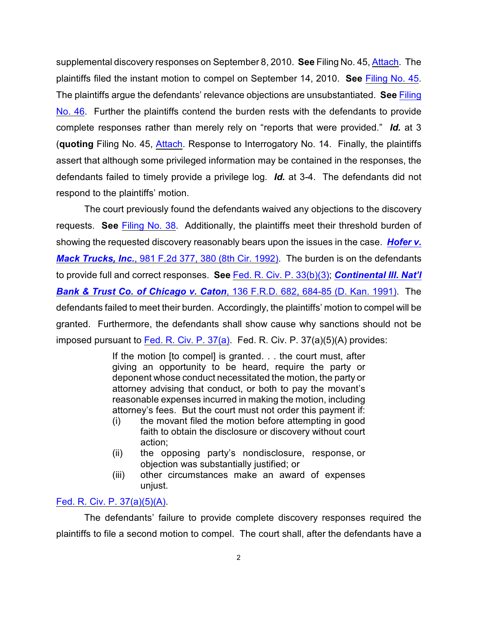supplemental discovery responses on September 8, 2010. **See** Filing No. 45, [Attach](https://ecf.ned.uscourts.gov/doc1/11312101053). The plaintiffs filed the instant motion to compel on September 14, 2010. **See** [Filing No. 45](https://ecf.ned.uscourts.gov/doc1/11312101052). The plaintiffs argue the defendants' relevance objections are unsubstantiated. **See** [Filing](https://ecf.ned.uscourts.gov/doc1/11312101059) [No. 46](https://ecf.ned.uscourts.gov/doc1/11312101059). Further the plaintiffs contend the burden rests with the defendants to provide complete responses rather than merely rely on "reports that were provided." *Id.* at 3 (**quoting** Filing No. 45, [Attach](https://ecf.ned.uscourts.gov/doc1/11312101053). Response to Interrogatory No. 14. Finally, the plaintiffs assert that although some privileged information may be contained in the responses, the defendants failed to timely provide a privilege log. *Id.* at 3-4. The defendants did not respond to the plaintiffs' motion.

The court previously found the defendants waived any objections to the discovery requests. **See** [Filing No. 38](https://ecf.ned.uscourts.gov/doc1/11312086212). Additionally, the plaintiffs meet their threshold burden of showing the requested discovery reasonably bears upon the issues in the case. *[Hofer v.](http://www.westlaw.com/find/default.wl?rs=CLWP3.0&vr=2.0&cite=981+F.2d+377) Mack Trucks, Inc.*[, 981 F.2d 377, 380 \(8th Cir. 1992\)](http://www.westlaw.com/find/default.wl?rs=CLWP3.0&vr=2.0&cite=981+F.2d+377). The burden is on the defendants to provide full and correct responses. **See** [Fed. R. Civ. P. 33\(b\)\(3\)](http://web2.westlaw.com/find/default.wl?rs=WLW10.06&ifm=NotSet&fn=_top&sv=Split&cite=FRCP+33&vr=2.0&rp=%2ffind%2fdefault.wl&mt=Westlaw); *[Continental Ill. Nat'l](http://www.westlaw.com/find/default.wl?rs=CLWP3.0&vr=2.0&cite=136+F.R.D.+682) [Bank & Trust Co. of Chicago v. Caton](http://www.westlaw.com/find/default.wl?rs=CLWP3.0&vr=2.0&cite=136+F.R.D.+682)*, 136 F.R.D. 682, 684-85 (D. Kan. 1991). The defendants failed to meet their burden. Accordingly, the plaintiffs' motion to compel will be granted. Furthermore, the defendants shall show cause why sanctions should not be imposed pursuant to Fed. R. Civ. P.  $37(a)$ . Fed. R. Civ. P.  $37(a)(5)(A)$  provides:

> If the motion [to compel] is granted. . . the court must, after giving an opportunity to be heard, require the party or deponent whose conduct necessitated the motion, the party or attorney advising that conduct, or both to pay the movant's reasonable expenses incurred in making the motion, including attorney's fees. But the court must not order this payment if:

- (i) the movant filed the motion before attempting in good faith to obtain the disclosure or discovery without court action;
- (ii) the opposing party's nondisclosure, response, or objection was substantially justified; or
- (iii) other circumstances make an award of expenses unjust.

## [Fed. R. Civ. P. 37\(a\)\(5\)\(A\)](http://www.westlaw.com/find/default.wl?rs=CLWP3.0&vr=2.0&cite=FRCP+37).

The defendants' failure to provide complete discovery responses required the plaintiffs to file a second motion to compel. The court shall, after the defendants have a